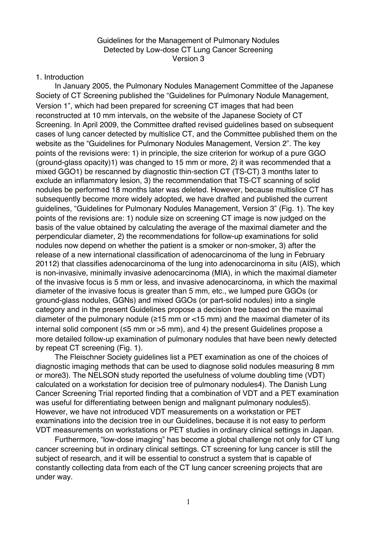#### Guidelines for the Management of Pulmonary Nodules Detected by Low-dose CT Lung Cancer Screening Version 3

#### 1. Introduction

 In January 2005, the Pulmonary Nodules Management Committee of the Japanese Society of CT Screening published the "Guidelines for Pulmonary Nodule Management, Version 1", which had been prepared for screening CT images that had been reconstructed at 10 mm intervals, on the website of the Japanese Society of CT Screening. In April 2009, the Committee drafted revised guidelines based on subsequent cases of lung cancer detected by multislice CT, and the Committee published them on the website as the "Guidelines for Pulmonary Nodules Management, Version 2". The key points of the revisions were: 1) in principle, the size criterion for workup of a pure GGO (ground-glass opacity)1) was changed to 15 mm or more, 2) it was recommended that a mixed GGO1) be rescanned by diagnostic thin-section CT (TS-CT) 3 months later to exclude an inflammatory lesion, 3) the recommendation that TS-CT scanning of solid nodules be performed 18 months later was deleted. However, because multislice CT has subsequently become more widely adopted, we have drafted and published the current guidelines, "Guidelines for Pulmonary Nodules Management, Version 3" (Fig. 1). The key points of the revisions are: 1) nodule size on screening CT image is now judged on the basis of the value obtained by calculating the average of the maximal diameter and the perpendicular diameter, 2) the recommendations for follow-up examinations for solid nodules now depend on whether the patient is a smoker or non-smoker, 3) after the release of a new international classification of adenocarcinoma of the lung in February 20112) that classifies adenocarcinoma of the lung into adenocarcinoma in situ (AIS), which is non-invasive, minimally invasive adenocarcinoma (MIA), in which the maximal diameter of the invasive focus is 5 mm or less, and invasive adenocarcinoma, in which the maximal diameter of the invasive focus is greater than 5 mm, etc., we lumped pure GGOs (or ground-glass nodules, GGNs) and mixed GGOs (or part-solid nodules) into a single category and in the present Guidelines propose a decision tree based on the maximal diameter of the pulmonary nodule ( $\geq$ 15 mm or <15 mm) and the maximal diameter of its internal solid component (≤5 mm or >5 mm), and 4) the present Guidelines propose a more detailed follow-up examination of pulmonary nodules that have been newly detected by repeat CT screening (Fig. 1).

 The Fleischner Society guidelines list a PET examination as one of the choices of diagnostic imaging methods that can be used to diagnose solid nodules measuring 8 mm or more3). The NELSON study reported the usefulness of volume doubling time (VDT) calculated on a workstation for decision tree of pulmonary nodules4). The Danish Lung Cancer Screening Trial reported finding that a combination of VDT and a PET examination was useful for differentiating between benign and malignant pulmonary nodules5). However, we have not introduced VDT measurements on a workstation or PET examinations into the decision tree in our Guidelines, because it is not easy to perform VDT measurements on workstations or PET studies in ordinary clinical settings in Japan.

 Furthermore, "low-dose imaging" has become a global challenge not only for CT lung cancer screening but in ordinary clinical settings. CT screening for lung cancer is still the subject of research, and it will be essential to construct a system that is capable of constantly collecting data from each of the CT lung cancer screening projects that are under way.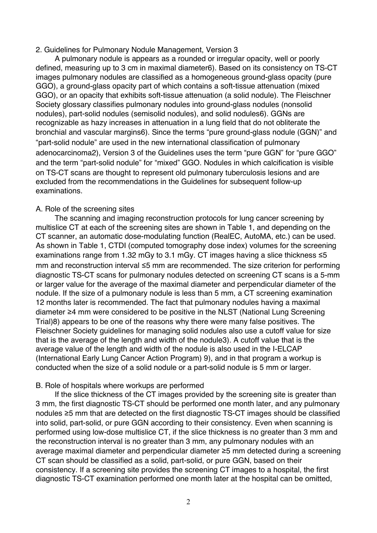#### 2. Guidelines for Pulmonary Nodule Management, Version 3

 A pulmonary nodule is appears as a rounded or irregular opacity, well or poorly defined, measuring up to 3 cm in maximal diameter6). Based on its consistency on TS-CT images pulmonary nodules are classified as a homogeneous ground-glass opacity (pure GGO), a ground-glass opacity part of which contains a soft-tissue attenuation (mixed GGO), or an opacity that exhibits soft-tissue attenuation (a solid nodule). The Fleischner Society glossary classifies pulmonary nodules into ground-glass nodules (nonsolid nodules), part-solid nodules (semisolid nodules), and solid nodules6). GGNs are recognizable as hazy increases in attenuation in a lung field that do not obliterate the bronchial and vascular margins6). Since the terms "pure ground-glass nodule (GGN)" and "part-solid nodule" are used in the new international classification of pulmonary adenocarcinoma2), Version 3 of the Guidelines uses the term "pure GGN" for "pure GGO" and the term "part-solid nodule" for "mixed" GGO. Nodules in which calcification is visible on TS-CT scans are thought to represent old pulmonary tuberculosis lesions and are excluded from the recommendations in the Guidelines for subsequent follow-up examinations.

#### A. Role of the screening sites

 The scanning and imaging reconstruction protocols for lung cancer screening by multislice CT at each of the screening sites are shown in Table 1, and depending on the CT scanner, an automatic dose-modulating function (RealEC, AutoMA, etc.) can be used. As shown in Table 1, CTDI (computed tomography dose index) volumes for the screening examinations range from 1.32 mGy to 3.1 mGy. CT images having a slice thickness ≤5 mm and reconstruction interval ≤5 mm are recommended. The size criterion for performing diagnostic TS-CT scans for pulmonary nodules detected on screening CT scans is a 5-mm or larger value for the average of the maximal diameter and perpendicular diameter of the nodule. If the size of a pulmonary nodule is less than 5 mm, a CT screening examination 12 months later is recommended. The fact that pulmonary nodules having a maximal diameter ≥4 mm were considered to be positive in the NLST (National Lung Screening Trial)8) appears to be one of the reasons why there were many false positives. The Fleischner Society guidelines for managing solid nodules also use a cutoff value for size that is the average of the length and width of the nodule3). A cutoff value that is the average value of the length and width of the nodule is also used in the I-ELCAP (International Early Lung Cancer Action Program) 9), and in that program a workup is conducted when the size of a solid nodule or a part-solid nodule is 5 mm or larger.

#### B. Role of hospitals where workups are performed

 If the slice thickness of the CT images provided by the screening site is greater than 3 mm, the first diagnostic TS-CT should be performed one month later, and any pulmonary nodules ≥5 mm that are detected on the first diagnostic TS-CT images should be classified into solid, part-solid, or pure GGN according to their consistency. Even when scanning is performed using low-dose multislice CT, if the slice thickness is no greater than 3 mm and the reconstruction interval is no greater than 3 mm, any pulmonary nodules with an average maximal diameter and perpendicular diameter ≥5 mm detected during a screening CT scan should be classified as a solid, part-solid, or pure GGN, based on their consistency. If a screening site provides the screening CT images to a hospital, the first diagnostic TS-CT examination performed one month later at the hospital can be omitted,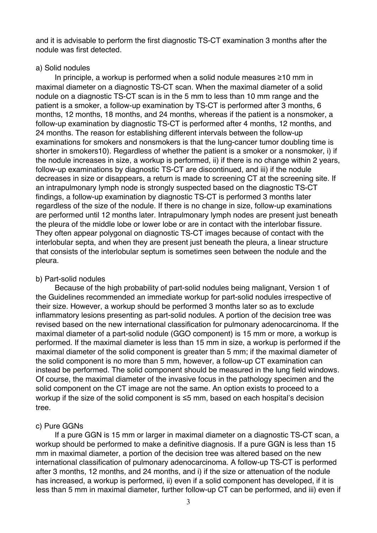and it is advisable to perform the first diagnostic TS-CT examination 3 months after the nodule was first detected.

## a) Solid nodules

 In principle, a workup is performed when a solid nodule measures ≥10 mm in maximal diameter on a diagnostic TS-CT scan. When the maximal diameter of a solid nodule on a diagnostic TS-CT scan is in the 5 mm to less than 10 mm range and the patient is a smoker, a follow-up examination by TS-CT is performed after 3 months, 6 months, 12 months, 18 months, and 24 months, whereas if the patient is a nonsmoker, a follow-up examination by diagnostic TS-CT is performed after 4 months, 12 months, and 24 months. The reason for establishing different intervals between the follow-up examinations for smokers and nonsmokers is that the lung-cancer tumor doubling time is shorter in smokers10). Regardless of whether the patient is a smoker or a nonsmoker, i) if the nodule increases in size, a workup is performed, ii) if there is no change within 2 years, follow-up examinations by diagnostic TS-CT are discontinued, and iii) if the nodule decreases in size or disappears, a return is made to screening CT at the screening site. If an intrapulmonary lymph node is strongly suspected based on the diagnostic TS-CT findings, a follow-up examination by diagnostic TS-CT is performed 3 months later regardless of the size of the nodule. If there is no change in size, follow-up examinations are performed until 12 months later. Intrapulmonary lymph nodes are present just beneath the pleura of the middle lobe or lower lobe or are in contact with the interlobar fissure. They often appear polygonal on diagnostic TS-CT images because of contact with the interlobular septa, and when they are present just beneath the pleura, a linear structure that consists of the interlobular septum is sometimes seen between the nodule and the pleura.

## b) Part-solid nodules

 Because of the high probability of part-solid nodules being malignant, Version 1 of the Guidelines recommended an immediate workup for part-solid nodules irrespective of their size. However, a workup should be performed 3 months later so as to exclude inflammatory lesions presenting as part-solid nodules. A portion of the decision tree was revised based on the new international classification for pulmonary adenocarcinoma. If the maximal diameter of a part-solid nodule (GGO component) is 15 mm or more, a workup is performed. If the maximal diameter is less than 15 mm in size, a workup is performed if the maximal diameter of the solid component is greater than 5 mm; if the maximal diameter of the solid component is no more than 5 mm, however, a follow-up CT examination can instead be performed. The solid component should be measured in the lung field windows. Of course, the maximal diameter of the invasive focus in the pathology specimen and the solid component on the CT image are not the same. An option exists to proceed to a workup if the size of the solid component is ≤5 mm, based on each hospital's decision tree.

## c) Pure GGNs

 If a pure GGN is 15 mm or larger in maximal diameter on a diagnostic TS-CT scan, a workup should be performed to make a definitive diagnosis. If a pure GGN is less than 15 mm in maximal diameter, a portion of the decision tree was altered based on the new international classification of pulmonary adenocarcinoma. A follow-up TS-CT is performed after 3 months, 12 months, and 24 months, and i) if the size or attenuation of the nodule has increased, a workup is performed, ii) even if a solid component has developed, if it is less than 5 mm in maximal diameter, further follow-up CT can be performed, and iii) even if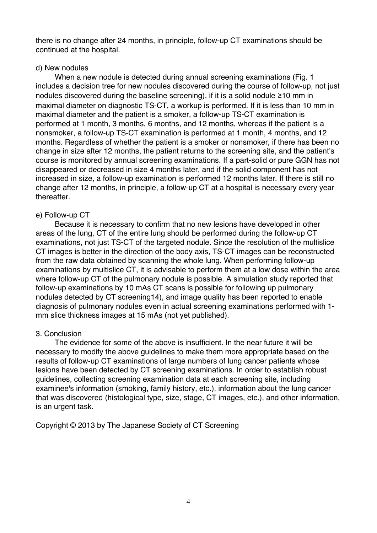there is no change after 24 months, in principle, follow-up CT examinations should be continued at the hospital.

## d) New nodules

 When a new nodule is detected during annual screening examinations (Fig. 1 includes a decision tree for new nodules discovered during the course of follow-up, not just nodules discovered during the baseline screening), if it is a solid nodule ≥10 mm in maximal diameter on diagnostic TS-CT, a workup is performed. If it is less than 10 mm in maximal diameter and the patient is a smoker, a follow-up TS-CT examination is performed at 1 month, 3 months, 6 months, and 12 months, whereas if the patient is a nonsmoker, a follow-up TS-CT examination is performed at 1 month, 4 months, and 12 months. Regardless of whether the patient is a smoker or nonsmoker, if there has been no change in size after 12 months, the patient returns to the screening site, and the patient's course is monitored by annual screening examinations. If a part-solid or pure GGN has not disappeared or decreased in size 4 months later, and if the solid component has not increased in size, a follow-up examination is performed 12 months later. If there is still no change after 12 months, in principle, a follow-up CT at a hospital is necessary every year thereafter.

## e) Follow-up CT

 Because it is necessary to confirm that no new lesions have developed in other areas of the lung, CT of the entire lung should be performed during the follow-up CT examinations, not just TS-CT of the targeted nodule. Since the resolution of the multislice CT images is better in the direction of the body axis, TS-CT images can be reconstructed from the raw data obtained by scanning the whole lung. When performing follow-up examinations by multislice CT, it is advisable to perform them at a low dose within the area where follow-up CT of the pulmonary nodule is possible. A simulation study reported that follow-up examinations by 10 mAs CT scans is possible for following up pulmonary nodules detected by CT screening14), and image quality has been reported to enable diagnosis of pulmonary nodules even in actual screening examinations performed with 1 mm slice thickness images at 15 mAs (not yet published).

# 3. Conclusion

 The evidence for some of the above is insufficient. In the near future it will be necessary to modify the above guidelines to make them more appropriate based on the results of follow-up CT examinations of large numbers of lung cancer patients whose lesions have been detected by CT screening examinations. In order to establish robust guidelines, collecting screening examination data at each screening site, including examinee's information (smoking, family history, etc.), information about the lung cancer that was discovered (histological type, size, stage, CT images, etc.), and other information, is an urgent task.

Copyright © 2013 by The Japanese Society of CT Screening